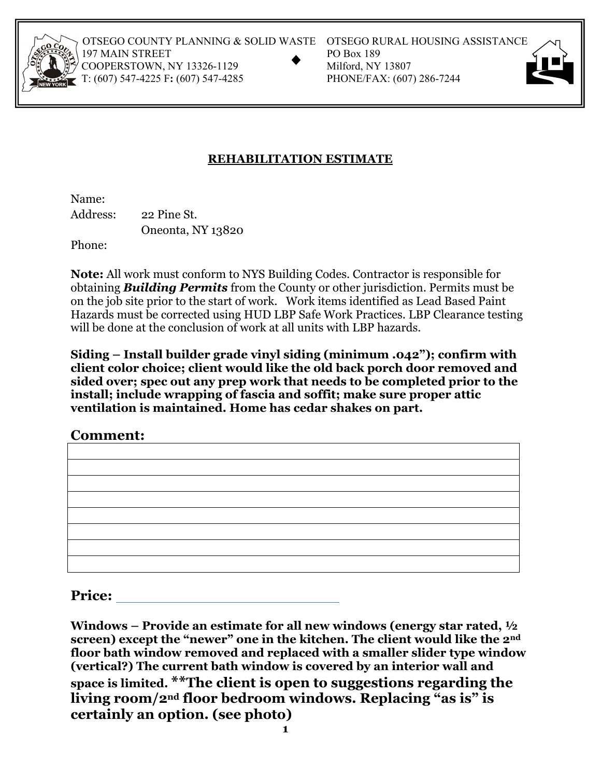

OTSEGO COUNTY PLANNING & SOLID WASTE OTSEGO RURAL HOUSING ASSISTANCE<br>197 MAIN STREET PO Box 189<br>COOPERSTOWN, NY 13326-1129 Milford, NY 13807<br>T: (607) 547-4225 F: (607) 547-4285 PHONE/FAX: (607) 286-7244 197 MAIN STREET COOPERSTOWN, NY 13326-1129 T: (607) 547-4225 F: (607) 547-4285

- 
- 



## **REHABILITATION ESTIMATE**

Name: Address: 22 Pine St. Oneonta, NY 13820

Phone:

**Note:** All work must conform to NYS Building Codes. Contractor is responsible for obtaining *Building Permits* from the County or other jurisdiction. Permits must be on the job site prior to the start of work. Work items identified as Lead Based Paint Hazards must be corrected using HUD LBP Safe Work Practices. LBP Clearance testing will be done at the conclusion of work at all units with LBP hazards.

**Siding – Install builder grade vinyl siding (minimum .042"); confirm with client color choice; client would like the old back porch door removed and sided over; spec out any prep work that needs to be completed prior to the install; include wrapping of fascia and soffit; make sure proper attic ventilation is maintained. Home has cedar shakes on part.** 

**Comment:** 

**Price:** 

**Windows – Provide an estimate for all new windows (energy star rated, ½ screen) except the "newer" one in the kitchen. The client would like the 2nd floor bath window removed and replaced with a smaller slider type window (vertical?) The current bath window is covered by an interior wall and space is limited. \*\*The client is open to suggestions regarding the living room/2nd floor bedroom windows. Replacing "as is" is certainly an option. (see photo) 1**